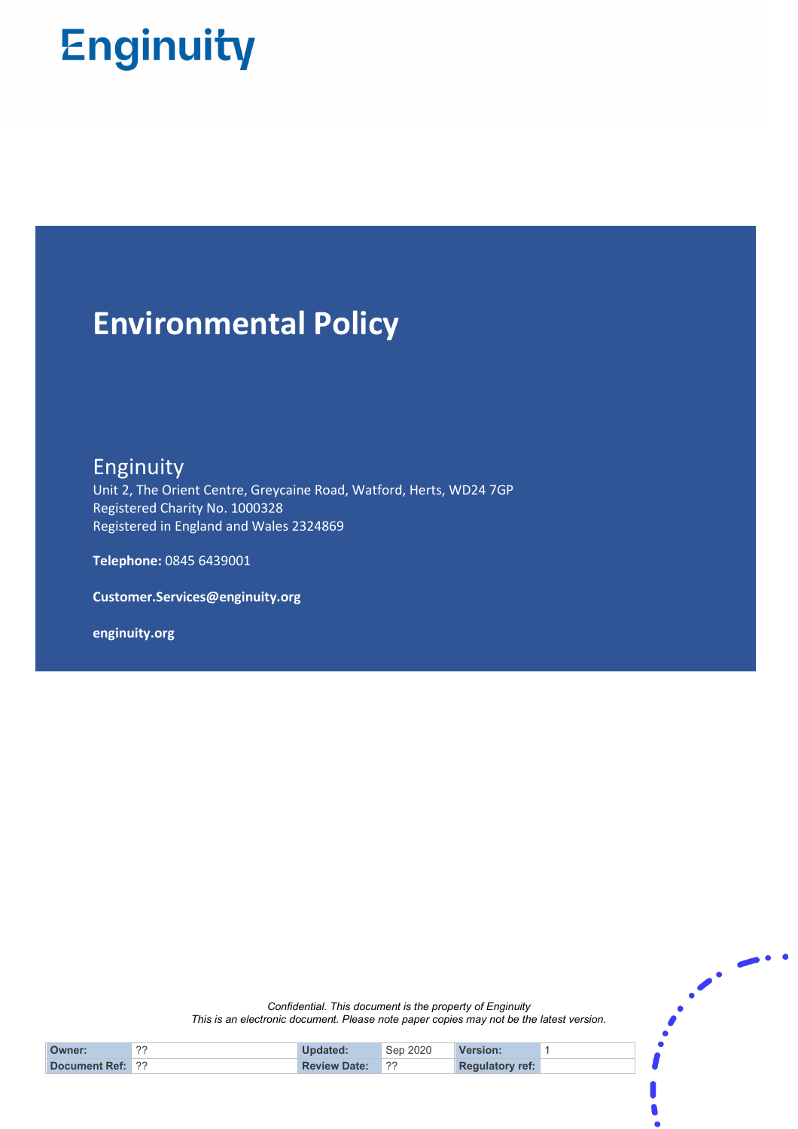# **Enginuity**

## **Environmental Policy**

**Enginuity** 

Unit 2, The Orient Centre, Greycaine Road, Watford, Herts, WD24 7GP Registered Charity No. 1000328 Registered in England and Wales 2324869

**Telephone:** 0845 6439001

**Customer.Services@enginuity.org**

**enginuity.org**

*Confidential. This document is the property of Enginuity This is an electronic document. Please note paper copies may not be the latest version.*   $\ddotsc$ 

| Owner:                  | ?? | Updated:            | Sep 2020 | <b>Version:</b>        |  |
|-------------------------|----|---------------------|----------|------------------------|--|
| <b>Document Ref: 3?</b> |    | <b>Review Date:</b> | 22       | <b>Regulatory ref:</b> |  |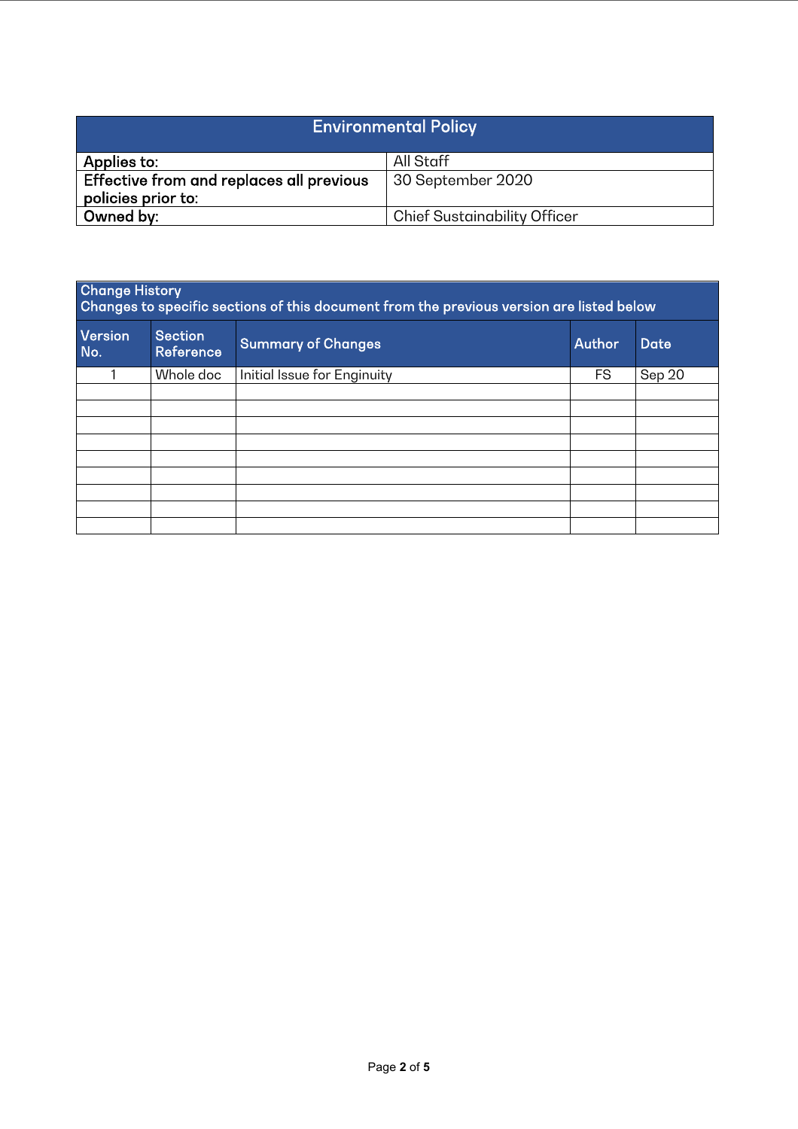| <b>Environmental Policy</b>                                    |                                     |  |  |  |
|----------------------------------------------------------------|-------------------------------------|--|--|--|
| Applies to:                                                    | All Staff                           |  |  |  |
| Effective from and replaces all previous<br>policies prior to: | 30 September 2020                   |  |  |  |
| Owned by:                                                      | <b>Chief Sustainability Officer</b> |  |  |  |

| <b>Change History</b><br>Changes to specific sections of this document from the previous version are listed below |                             |                             |               |             |  |  |  |  |
|-------------------------------------------------------------------------------------------------------------------|-----------------------------|-----------------------------|---------------|-------------|--|--|--|--|
| Version<br>No.                                                                                                    | <b>Section</b><br>Reference | <b>Summary of Changes</b>   | <b>Author</b> | <b>Date</b> |  |  |  |  |
|                                                                                                                   | Whole doc                   | Initial Issue for Enginuity | <b>FS</b>     | Sep 20      |  |  |  |  |
|                                                                                                                   |                             |                             |               |             |  |  |  |  |
|                                                                                                                   |                             |                             |               |             |  |  |  |  |
|                                                                                                                   |                             |                             |               |             |  |  |  |  |
|                                                                                                                   |                             |                             |               |             |  |  |  |  |
|                                                                                                                   |                             |                             |               |             |  |  |  |  |
|                                                                                                                   |                             |                             |               |             |  |  |  |  |
|                                                                                                                   |                             |                             |               |             |  |  |  |  |
|                                                                                                                   |                             |                             |               |             |  |  |  |  |
|                                                                                                                   |                             |                             |               |             |  |  |  |  |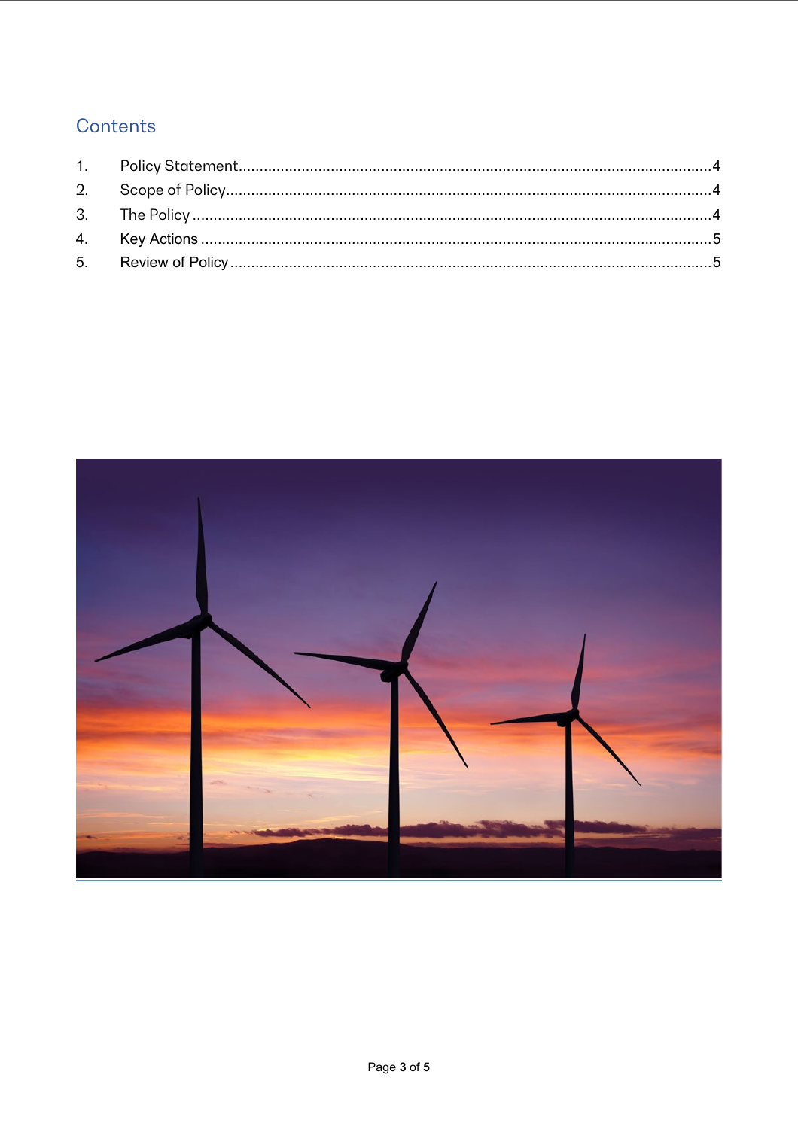### Contents

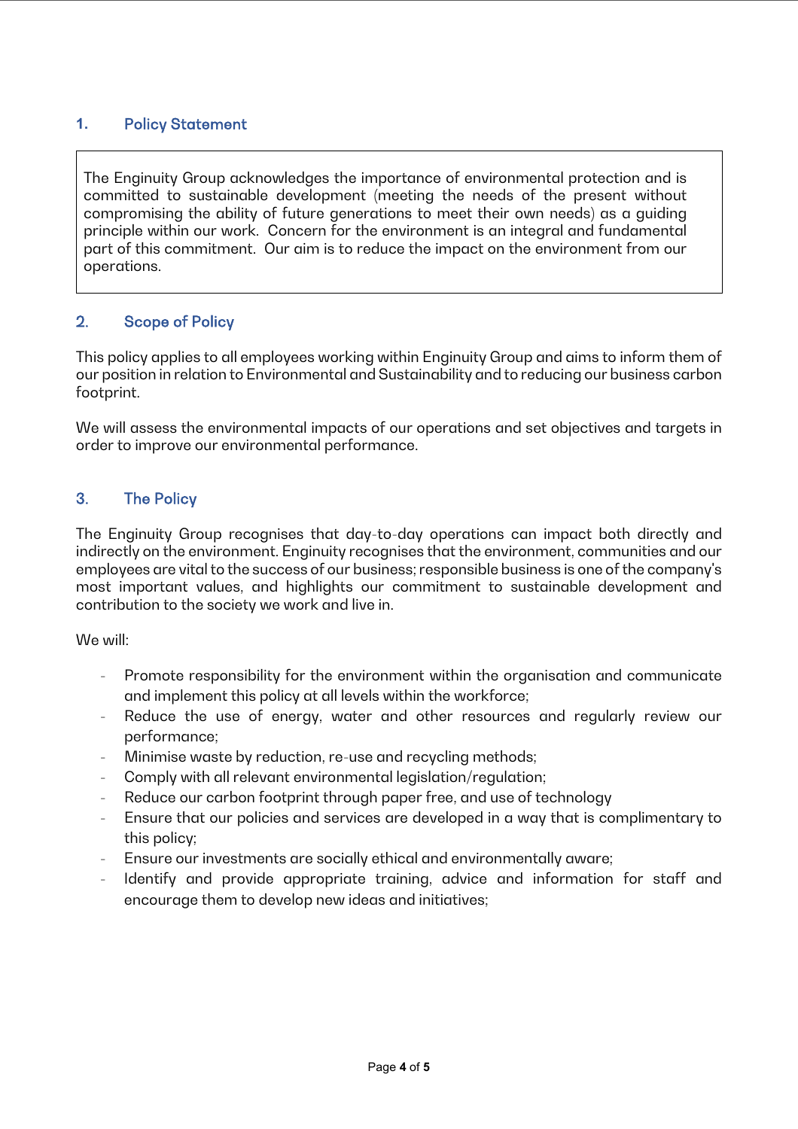#### <span id="page-3-0"></span>**1.** Policy Statement

The Enginuity Group acknowledges the importance of environmental protection and is committed to sustainable development (meeting the needs of the present without compromising the ability of future generations to meet their own needs) as a guiding principle within our work. Concern for the environment is an integral and fundamental part of this commitment. Our aim is to reduce the impact on the environment from our operations.

#### <span id="page-3-1"></span>2. Scope of Policy

This policy applies to all employees working within Enginuity Group and aims to inform them of our position in relation to Environmental and Sustainability and to reducing our business carbon footprint.

We will assess the environmental impacts of our operations and set objectives and targets in order to improve our environmental performance.

#### <span id="page-3-2"></span>3. The Policy

The Enginuity Group recognises that day-to-day operations can impact both directly and indirectly on the environment. Enginuity recognises that the environment, communities and our employees are vital to the success of our business; responsible business is one of the company's most important values, and highlights our commitment to sustainable development and contribution to the society we work and live in.

We will:

- Promote responsibility for the environment within the organisation and communicate and implement this policy at all levels within the workforce;
- Reduce the use of energy, water and other resources and regularly review our performance;
- Minimise waste by reduction, re-use and recycling methods;
- Comply with all relevant environmental legislation/regulation;
- Reduce our carbon footprint through paper free, and use of technology
- Ensure that our policies and services are developed in a way that is complimentary to this policy;
- Ensure our investments are socially ethical and environmentally aware;
- Identify and provide appropriate training, advice and information for staff and encourage them to develop new ideas and initiatives;